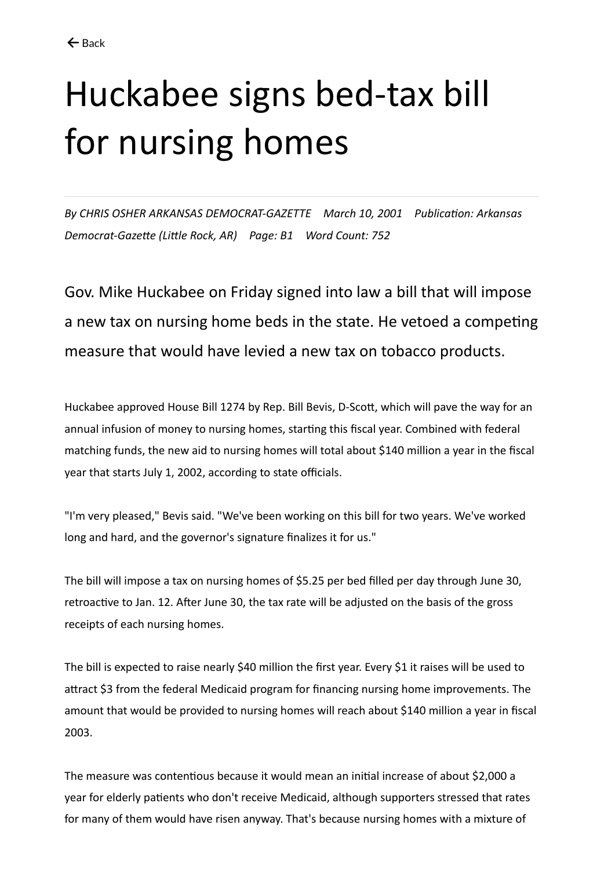## Huckabee signs bed-tax bill for nursing homes

*By CHRIS OSHER ARKANSAS DEMOCRAT-GAZETTE March 10, 2001 Publication: Arkansas Democrat-Gazette (Little Rock, AR) Page: B1 Word Count: 752*

Gov. Mike Huckabee on Friday signed into law a bill that will impose a new tax on nursing home beds in the state. He vetoed a competing measure that would have levied a new tax on tobacco products.

Huckabee approved House Bill 1274 by Rep. Bill Bevis, D-Scott, which will pave the way for an annual infusion of money to nursing homes, starting this fiscal year. Combined with federal matching funds, the new aid to nursing homes will total about \$140 million a year in the fiscal year that starts July 1, 2002, according to state officials.

"I'm very pleased," Bevis said. "We've been working on this bill for two years. We've worked long and hard, and the governor's signature finalizes it for us."

The bill will impose a tax on nursing homes of \$5.25 per bed filled per day through June 30, retroactive to Jan. 12. After June 30, the tax rate will be adjusted on the basis of the gross receipts of each nursing homes.

The bill is expected to raise nearly \$40 million the first year. Every \$1 it raises will be used to attract \$3 from the federal Medicaid program for financing nursing home improvements. The amount that would be provided to nursing homes will reach about \$140 million a year in fiscal 2003.

The measure was contentious because it would mean an initial increase of about \$2,000 a year for elderly patients who don't receive Medicaid, although supporters stressed that rates for many of them would have risen anyway. That's because nursing homes with a mixture of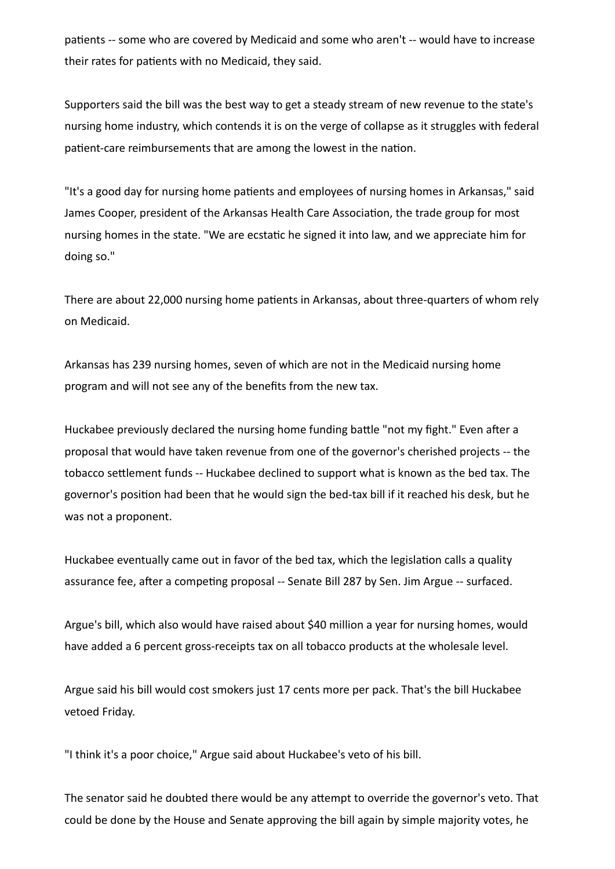patients -- some who are covered by Medicaid and some who aren't -- would have to increase their rates for patients with no Medicaid, they said.

Supporters said the bill was the best way to get a steady stream of new revenue to the state's nursing home industry, which contends it is on the verge of collapse as it struggles with federal patient-care reimbursements that are among the lowest in the nation.

"It's a good day for nursing home patients and employees of nursing homes in Arkansas," said James Cooper, president of the Arkansas Health Care Association, the trade group for most nursing homes in the state. "We are ecstatic he signed it into law, and we appreciate him for doing so."

There are about 22,000 nursing home patients in Arkansas, about three-quarters of whom rely on Medicaid.

Arkansas has 239 nursing homes, seven of which are not in the Medicaid nursing home program and will not see any of the benefits from the new tax.

Huckabee previously declared the nursing home funding battle "not my fight." Even after a proposal that would have taken revenue from one of the governor's cherished projects -- the tobacco settlement funds -- Huckabee declined to support what is known as the bed tax. The governor's position had been that he would sign the bed-tax bill if it reached his desk, but he was not a proponent.

Huckabee eventually came out in favor of the bed tax, which the legislation calls a quality assurance fee, after a competing proposal -- Senate Bill 287 by Sen. Jim Argue -- surfaced.

Argue's bill, which also would have raised about \$40 million a year for nursing homes, would have added a 6 percent gross-receipts tax on all tobacco products at the wholesale level.

Argue said his bill would cost smokers just 17 cents more per pack. That's the bill Huckabee vetoed Friday.

"I think it's a poor choice," Argue said about Huckabee's veto of his bill.

The senator said he doubted there would be any attempt to override the governor's veto. That could be done by the House and Senate approving the bill again by simple majority votes, he